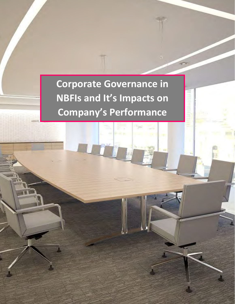**Corporate Governance in NBFIs and It's Impacts on Company's Performance**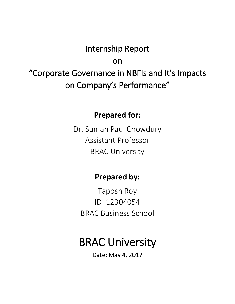# Internship Report

on

"Corporate Governance in NBFIs and It's Impacts on Company's Performance"

# **Prepared for:**

Dr. Suman Paul Chowdury Assistant Professor BRAC University

# **Prepared by:**

Taposh Roy ID: 12304054 BRAC Business School

# BRAC University

Date: May 4, 2017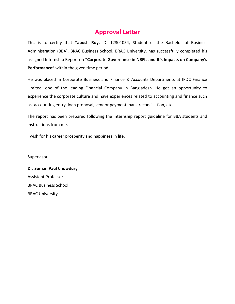## **Approval Letter**

This is to certify that **Taposh Roy,** ID: 12304054, Student of the Bachelor of Business Administration (BBA), BRAC Business School, BRAC University, has successfully completed his assigned Internship Report on **"Corporate Governance in NBFIs and It's Impacts on Company's Performance"** within the given time period.

He was placed in Corporate Business and Finance & Accounts Departments at IPDC Finance Limited, one of the leading Financial Company in Bangladesh. He got an opportunity to experience the corporate culture and have experiences related to accounting and finance such as- accounting entry, loan proposal, vendor payment, bank reconciliation, etc.

The report has been prepared following the internship report guideline for BBA students and instructions from me.

I wish for his career prosperity and happiness in life.

Supervisor,

**Dr. Suman Paul Chowdury** Assistant Professor BRAC Business School BRAC University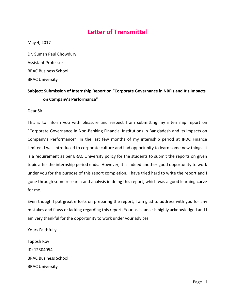## **Letter of Transmittal**

<span id="page-3-0"></span>May 4, 2017

Dr. Suman Paul Chowdury Assistant Professor BRAC Business School BRAC University

#### **Subject: Submission of Internship Report on "Corporate Governance in NBFIs and It's Impacts on Company's Performance"**

Dear Sir:

This is to inform you with pleasure and respect I am submitting my internship report on "Corporate Governance in Non-Banking Financial Institutions in Bangladesh and its impacts on Company's Performance". In the last few months of my internship period at IPDC Finance Limited, I was introduced to corporate culture and had opportunity to learn some new things. It is a requirement as per BRAC University policy for the students to submit the reports on given topic after the internship period ends. However, it is indeed another good opportunity to work under you for the purpose of this report completion. I have tried hard to write the report and I gone through some research and analysis in doing this report, which was a good learning curve for me.

Even though I put great efforts on preparing the report, I am glad to address with you for any mistakes and flaws or lacking regarding this report. Your assistance is highly acknowledged and I am very thankful for the opportunity to work under your advices.

Yours Faithfully,

Taposh Roy ID: 12304054 BRAC Business School BRAC University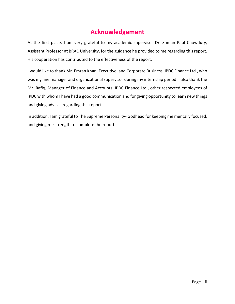## **Acknowledgement**

<span id="page-4-0"></span>At the first place, I am very grateful to my academic supervisor Dr. Suman Paul Chowdury, Assistant Professor at BRAC University, for the guidance he provided to me regarding this report. His cooperation has contributed to the effectiveness of the report.

I would like to thank Mr. Emran Khan, Executive, and Corporate Business, IPDC Finance Ltd., who was my line manager and organizational supervisor during my internship period. I also thank the Mr. Rafiq, Manager of Finance and Accounts, IPDC Finance Ltd., other respected employees of IPDC with whom I have had a good communication and for giving opportunity to learn new things and giving advices regarding this report.

In addition, I am grateful to The Supreme Personality- Godhead for keeping me mentally focused, and giving me strength to complete the report.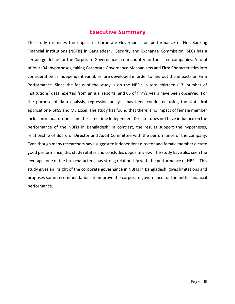## **Executive Summary**

<span id="page-5-0"></span>The study examines the impact of Corporate Governance on performance of Non-Banking Financial Institutions (NBFIs) in Bangladesh. Security and Exchange Commission (SEC) has a certain guideline for the Corporate Governance in our country for the listed companies. A total of four (04) hypotheses, taking Corporate Governance Mechanisms and Firm Characteristics into consideration as independent variables, are developed in order to find out the impacts on Firm Performance. Since the focus of the study is on the NBFIs, a total thirteen (13) number of institutions' data, exerted from annual reports, and 65 of firm's years have been observed. For the purpose of data analysis, regression analysis has been conducted using the statistical applications- SPSS and MS Excel. The study has found that there is no impact of female member inclusion in boardroom , and the same time Independent Director does not have influence on the performance of the NBFIs in Bangladesh. In contrast, the results support the hypotheses, relationship of Board of Director and Audit Committee with the performance of the company. Even though many researchers have suggested independent director and female member dictate good performance, this study refutes and concludes opposite view. The study have also seen the leverage, one of the firm characters, has strong relationship with the performance of NBFIs. This study gives an insight of the corporate governance in NBFIs in Bangladesh, gives limitations and proposes some recommendations to improve the corporate governance for the better financial performance.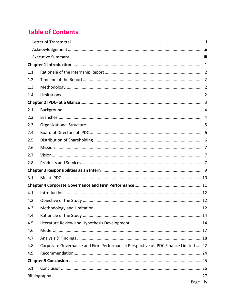# **Table of Contents**

| 1.1 |                                                                                    |
|-----|------------------------------------------------------------------------------------|
| 1.2 |                                                                                    |
| 1.3 |                                                                                    |
| 1.4 |                                                                                    |
|     |                                                                                    |
| 2.1 |                                                                                    |
| 2.2 |                                                                                    |
| 2.3 |                                                                                    |
| 2.4 |                                                                                    |
| 2.5 |                                                                                    |
| 2.6 |                                                                                    |
| 2.7 |                                                                                    |
| 2.8 |                                                                                    |
|     |                                                                                    |
| 3.1 |                                                                                    |
|     |                                                                                    |
| 4.1 |                                                                                    |
| 4.2 |                                                                                    |
| 4.3 |                                                                                    |
| 4.4 |                                                                                    |
| 4.5 |                                                                                    |
| 4.6 |                                                                                    |
| 4.7 |                                                                                    |
| 4.8 | Corporate Governance and Firm Performance: Perspective of IPDC Finance Limited  22 |
| 4.9 |                                                                                    |
|     |                                                                                    |
| 5.1 |                                                                                    |
|     |                                                                                    |
|     | Page   iv                                                                          |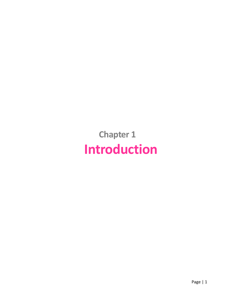<span id="page-7-0"></span>**Chapter 1 Introduction**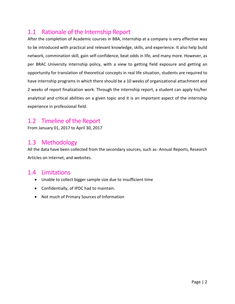## <span id="page-8-0"></span>1.1 Rationale of the Internship Report

After the completion of Academic courses in BBA, internship at a company is very effective way to be introduced with practical and relevant knowledge, skills, and experience. It also help build network, commination skill, gain self-confidence, beat odds in life, and many more. However, as per BRAC University internship policy, with a view to getting field exposure and getting an opportunity for translation of theoretical concepts in real life situation, students are required to have internship programs in which there should be a 10 weeks of organizational attachment and 2 weeks of report finalization work. Through the internship report, a student can apply his/her analytical and critical abilities on a given topic and it is an important aspect of the internship experience in professional field.

## <span id="page-8-1"></span>1.2 Timeline of the Report

From January 01, 2017 to April 30, 2017

## <span id="page-8-2"></span>1.3 Methodology

All the data have been collected from the secondary sources, such as- Annual Reports, Research Articles on Internet, and websites.

### <span id="page-8-3"></span>1.4 Limitations

- Unable to collect bigger sample size due to insufficient time
- Confidentially, of IPDC had to maintain.
- Not much of Primary Sources of Information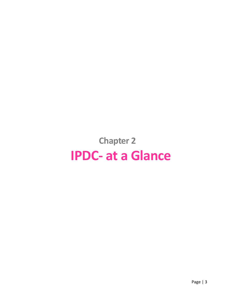# <span id="page-9-0"></span>**Chapter 2 IPDC- at a Glance**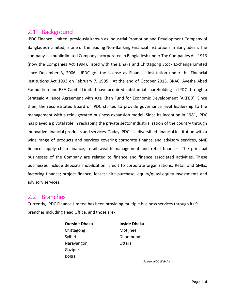### <span id="page-10-0"></span>2.1 Background

IPDC Finance Limited, previously known as Industrial Promotion and Development Company of Bangladesh Limited, is one of the leading Non-Banking Financial Institutions in Bangladesh. The company is a public limited Company incorporated in Bangladesh under The Companies Act 1913 (now the Companies Act 1994), listed with the Dhaka and Chittagong Stock Exchange Limited since December 3, 2006. IPDC got the license as Financial Institution under the Financial Institutions Act 1993 on February 7, 1995. At the end of October 2015, BRAC, Ayesha Abed Foundation and RSA Capital Limited have acquired substantial shareholding in IPDC through a Strategic Alliance Agreement with Aga Khan Fund for Economic Development (AKFED). Since then, the reconstituted Board of IPDC started to provide governance level leadership to the management with a reinvigorated business expansion model. Since its inception in 1981, IPDC has played a pivotal role in reshaping the private sector industrialization of the country through innovative financial products and services. Today IPDC is a diversified financial institution with a wide range of products and services covering corporate finance and advisory services, SME finance supply chain finance, retail wealth management and retail finances. The principal businesses of the Company are related to finance and finance associated activities. These businesses include deposits mobilization; credit to corporate organizations; Retail and SMEs, factoring finance; project finance; leases; hire purchase; equity/quasi-equity investments and advisory services.

#### <span id="page-10-1"></span>2.2 Branches

Currently, IPDC Finance Limited has been providing multiple business services through its 9 branches including Head Office, and those are-

> **Outside Dhaka Inside Dhaka** Chittagong Motijheel Sylhet Dhanmondi Narayangonj Uttara Gazipur Bogra

*Source: IPDC Website*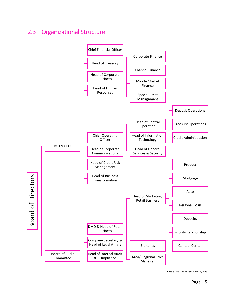## <span id="page-11-0"></span>2.3 Organizational Structure



 *Source of Data: Annual Report of IPDC, 2016*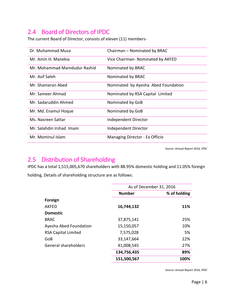## <span id="page-12-0"></span>2.4 Board of Directors of IPDC

The current Board of Director, consists of eleven (11) members-

| Dr. Muhammad Musa            | Chairman - Nominated by BRAC        |
|------------------------------|-------------------------------------|
| Mr. Amin H. Manekia          | Vice Chairman- Nominated by AKFED   |
| Mr. Mohammad Mamdudur Rashid | Nominated by BRAC                   |
| Mr. Asif Saleh               | Nominated by BRAC                   |
| Mr. Shameran Abed            | Nominated by Ayesha Abed Foundation |
| Mr. Sameer Ahmad             | Nominated by RSA Capital Limited    |
| Mr. Sadaruddin Ahmed         | Nominated by GoB                    |
| Mr. Md. Enamul Hoque         | Nominated by GoB                    |
| Ms. Nasreen Sattar           | Independent Director                |
| Mr. Salahdin Irshad Imam     | Independent Director                |
| Mr. Mominul Islam            | Managing Director - Ex Officio      |

*Source: Annual Report 2016, IPDC*

## <span id="page-12-1"></span>2.5 Distribution of Shareholding

IPDC has a total 1,515,005,670 shareholders with 88.95% domestic holding and 11.05% foreign holding. Details of shareholding structure are as follows:

|                             | As of December 31, 2016 |              |
|-----------------------------|-------------------------|--------------|
|                             | <b>Number</b>           | % of holding |
| Foreign                     |                         |              |
| <b>AKFED</b>                | 16,744,132              | 11%          |
| <b>Domestic</b>             |                         |              |
| <b>BRAC</b>                 | 37,875,141              | 25%          |
| Ayesha Abed Foundation      | 15,150,057              | 10%          |
| <b>RSA Capital Limited</b>  | 7,575,028               | 5%           |
| GoB                         | 33,147,664              | 22%          |
| <b>General shareholders</b> | 41,008,545              | 27%          |
|                             | 134,756,435             | 89%          |
|                             | 151,500,567             | 100%         |

*Source: Annual Report 2016, IPDC*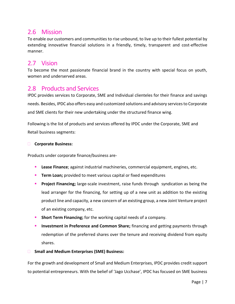## <span id="page-13-0"></span>2.6 Mission

To enable our customers and communities to rise unbound, to live up to their fullest potential by extending innovative financial solutions in a friendly, timely, transparent and cost-effective manner.

## <span id="page-13-1"></span>2.7 Vision

To become the most passionate financial brand in the country with special focus on youth, women and underserved areas.

## <span id="page-13-2"></span>2.8 Products and Services

IPDC provides services to Corporate, SME and Individual clienteles for their finance and savings needs. Besides, IPDC also offers easy and customized solutions and advisory services to Corporate and SME clients for their new undertaking under the structured finance wing.

Following is the list of products and services offered by IPDC under the Corporate, SME and Retail business segments:

#### **Corporate Business:**

Products under corporate finance/business are-

- **Lease Finance**; against industrial machineries, commercial equipment, engines, etc.
- **Term Loan;** provided to meet various capital or fixed expenditures
- **Project Financing;** large-scale investment, raise funds through syndication as being the lead arranger for the financing, for setting up of a new unit as addition to the existing product line and capacity, a new concern of an existing group, a new Joint Venture project of an existing company, etc.
- **Short Term Financing;** for the working capital needs of a company.
- **Investment in Preference and Common Share;** financing and getting payments through redemption of the preferred shares over the tenure and receiving dividend from equity shares.
- **Small and Medium Enterprises (SME) Business:**

For the growth and development of Small and Medium Enterprises, IPDC provides credit support to potential entrepreneurs. With the belief of 'Jago Ucchase', IPDC has focused on SME business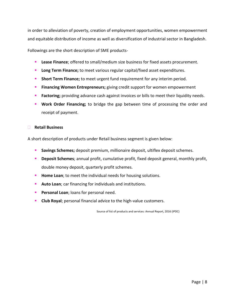in order to alleviation of poverty, creation of employment opportunities, women empowerment and equitable distribution of income as well as diversification of industrial sector in Bangladesh.

Followings are the short description of SME products-

- **Lease Finance**; offered to small/medium size business for fixed assets procurement.
- **Long Term Finance;** to meet various regular capital/fixed asset expenditures.
- **Short Term Finance;** to meet urgent fund requirement for any interim period.
- **Financing Women Entrepreneurs;** giving credit support for women empowerment
- **Factoring;** providing advance cash against invoices or bills to meet their liquidity needs.
- **Work Order Financing;** to bridge the gap between time of processing the order and receipt of payment.

#### **Retail Business**

A short description of products under Retail business segment is given below:

- **Savings Schemes;** deposit premium, millionaire deposit, ultiflex deposit schemes.
- **Deposit Schemes**; annual profit, cumulative profit, fixed deposit general, monthly profit, double money deposit, quarterly profit schemes.
- **Home Loan**; to meet the individual needs for housing solutions.
- **Auto Loan**; car financing for individuals and institutions.
- **Personal Loan**; loans for personal need.
- **Club Royal**; personal financial advice to the high-value customers.

Source of list of products and services: Annual Report, 2016 (IPDC)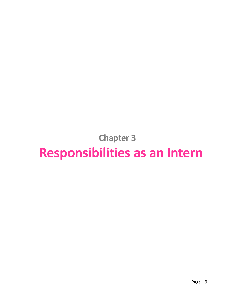**Chapter 3**

# <span id="page-15-0"></span>**Responsibilities as an Intern**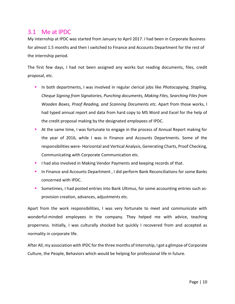### <span id="page-16-0"></span>3.1 Me at IPDC

My internship at IPDC was started from January to April 2017. I had been in Corporate Business for almost 1.5 months and then I switched to Finance and Accounts Department for the rest of the internship period.

The first few days, I had not been assigned any works but reading documents, files, credit proposal, etc.

- In both departments, I was involved in regular clerical jobs like *Photocopying, Stapling, Cheque Signing from Signatories, Punching documents, Making Files, Searching Files from Wooden Boxes, Proof Reading, and Scanning Documents etc.* Apart from those works, I had typed annual report and data from hard copy to MS Word and Excel for the help of the credit proposal making by the designated employees of IPDC.
- At the same time, I was fortunate to engage in the process of Annual Report making for the year of 2016, while I was in Finance and Accounts Departments. Some of the responsibilities were- Horizontal and Vertical Analysis, Generating Charts, Proof Checking, Communicating with Corporate Communication etc.
- **I** had also involved in Making Vendor Payments and keeping records of that.
- **In Finance and Accounts Department, I did perform Bank Reconciliations for some Banks** concerned with IPDC.
- Sometimes, I had posted entries into Bank Ultimus, for some accounting entries such asprovision creation, advances, adjustments etc.

Apart from the work responsibilities, I was very fortunate to meet and communicate with wonderful-minded employees in the company. They helped me with advice, teaching properness. Initially, I was culturally shocked but quickly I recovered from and accepted as normality in corporate life.

After All, my association with IPDC for the three months of Internship, I got a glimpse of Corporate Culture, the People, Behaviors which would be helping for professional life in future.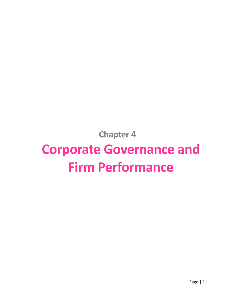**Chapter 4**

# <span id="page-17-0"></span>**Corporate Governance and Firm Performance**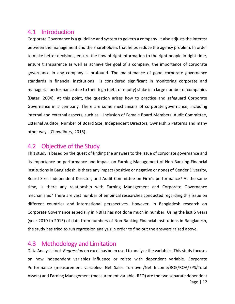#### <span id="page-18-0"></span>4.1 Introduction

Corporate Governance is a guideline and system to govern a company. It also adjusts the interest between the management and the shareholders that helps reduce the agency problem. In order to make better decisions, ensure the flow of right information to the right people in right time, ensure transparence as well as achieve the goal of a company, the importance of corporate governance in any company is profound. The maintenance of good corporate governance standards in financial institutions is considered significant in monitoring corporate and managerial performance due to their high (debt or equity) stake in a large number of companies (Datar, 2004)**.** At this point, the question arises how to practice and safeguard Corporate Governance in a company. There are some mechanisms of corporate governance, including internal and external aspects, such as – Inclusion of Female Board Members, Audit Committee, External Auditor, Number of Board Size, Independent Directors, Ownership Patterns and many other ways (Chowdhury, 2015).

#### <span id="page-18-1"></span>4.2 Objective of the Study

This study is based on the quest of finding the answers to the issue of corporate governance and its importance on performance and impact on Earning Management of Non-Banking Financial Institutions in Bangladesh. Is there any impact (positive or negative or none) of Gender Diversity, Board Size, Independent Director, and Audit Committee on Firm's performance? At the same time, is there any relationship with Earning Management and Corporate Governance mechanisms? There are vast number of empirical researches conducted regarding this issue on different countries and international perspectives. However, in Bangladesh research on Corporate Governance especially in NBFIs has not done much in number. Using the last 5 years (year 2010 to 2015) of data from numbers of Non-Banking Financial Institutions in Bangladesh, the study has tried to run regression analysis in order to find out the answers raised above.

## <span id="page-18-2"></span>4.3 Methodology and Limitation

Data Analysis tool- *Regression* on excel has been used to analyze the variables. This study focuses on how independent variables influence or relate with dependent variable. Corporate Performance (measurement variables- Net Sales Turnover/Net Income/ROE/ROA/EPS/Total Assets) and Earning Management (measurement variable- REO) are the two separate dependent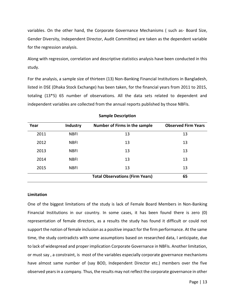variables. On the other hand, the Corporate Governance Mechanisms ( such as- Board Size, Gender Diversity, Independent Director, Audit Committee) are taken as the dependent variable for the regression analysis.

Along with regression, correlation and descriptive statistics analysis have been conducted in this study.

For the analysis, a sample size of thirteen (13) Non-Banking Financial Institutions in Bangladesh, listed in DSE (Dhaka Stock Exchange) has been taken, for the financial years from 2011 to 2015, totaling (13\*5) 65 number of observations. All the data sets related to dependent and independent variables are collected from the annual reports published by those NBFIs.

| Year | <b>Industry</b> | Number of Firms in the sample          | <b>Observed Firm Years</b> |
|------|-----------------|----------------------------------------|----------------------------|
| 2011 | <b>NBFI</b>     | 13                                     | 13                         |
| 2012 | <b>NBFI</b>     | 13                                     | 13                         |
| 2013 | <b>NBFI</b>     | 13                                     | 13                         |
| 2014 | <b>NBFI</b>     | 13                                     | 13                         |
| 2015 | <b>NBFI</b>     | 13                                     | 13                         |
|      |                 | <b>Total Observations (Firm Years)</b> | 65                         |

#### **Sample Description**

#### **Limitation**

One of the biggest limitations of the study is lack of Female Board Members in Non-Banking Financial Institutions in our country. In some cases, it has been found there is zero (0) representation of female directors, as a results the study has found it difficult or could not support the notion of female inclusion as a positive impact for the firm performance. At the same time, the study contradicts with some assumptions based on researched data, I anticipate, due to lack of widespread and proper implication Corporate Governance in NBFIs. Another limitation, or must say , a constraint, is most of the variables especially corporate governance mechanisms have almost same number of (say BOD, Independent Director etc.) members over the five observed years in a company. Thus, the results may not reflect the corporate governance in other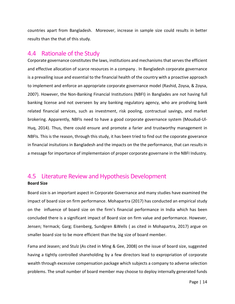countries apart from Bangladesh. Moreover, increase in sample size could results in better results than the that of this study.

#### <span id="page-20-0"></span>4.4 Rationale of the Study

Corporate governance constitutes the laws, institutions and mechanisms that serves the efficient and effective allocation of scarce resources in a company . In Bangladesh corporate governance is a prevailing issue and essential to the financial health of the country with a proactive approach to implement and enforce an appropriate corporate governance model (Rashid, Zoysa, & Zoysa, 2007). However, the Non-Banking Financial Institutions (NBFI) in Banglades are not having full banking license and not overseen by any banking regulatory agency, who are prodiving bank related financial services, such as investment, risk pooling, contractual savings, and market brokering. Apparently, NBFIs need to have a good corporate governance system (Moudud-Ul-Huq, 2014). Thus, there could ensure and promote a farier and trustworthy management in NBFIs. This is the reason, through this study, it has been tried to find out the coporate goverance in financial insitutions in Bangladesh and the impacts on the the performance, that can results in a message for importance of implementaion of proper corporate governane in the NBFI Industry.

#### <span id="page-20-1"></span>4.5 Literature Review and Hypothesis Development **Board Size**

Board size is an important aspect in Corporate Governance and many studies have examined the impact of board size on firm performance. Mohapartra (2017) has conducted an empirical study on the influence of board size on the firm's financial performance in India which has been concluded there is a significant impact of Board size on firm value and performance. However, Jensen; Yermack; Garg; Eisenberg, Sundgren &Wells ( as cited in Mohapartra, 2017) argue on smaller board size to be more efficient than the big size of board member.

Fama and Jeasen; and Stulz (As cited in Ming & Gee, 2008) on the issue of board size, suggested having a tightly controlled shareholding by a few directors lead to expropriation of corporate wealth through excessive compensation package which subjects a company to adverse selection problems. The small number of board member may choose to deploy internally generated funds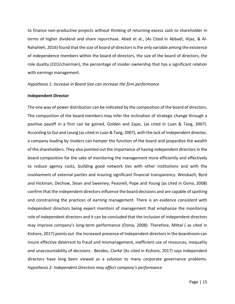to finance non-productive projects without thinking of returning excess cash to shareholder in terms of higher dividend and share repurchase. Abed et al., (As Cited in Abbadi, Hijaz, & Al-Rahahleh, 2016) found that the size of board of directors is the only variable among the existence of independence members within the board of directors, the size of the board of directors, the role duality (CEO/chairman), the percentage of insider ownership that has a significant relation with earnings management.

#### *Hypothesis 1: Increase in Board Size can increase the firm performance*

#### **Independent Director**

The one way of power distribution can be indicated by the composition of the board of directors. The composition of the board members may infer the inclination of strategic change through a positive payoff in a firm can be gained, Golden and Zajac, (as cited in Luan & Tang, 2007). According to Gul and Leung (as cited in Luan & Tang, 2007), with the lack of Independent director, a company leading by insiders can hamper the function of the board and jeopardize the wealth of the shareholders. They also pointed out the importance of having independent directors in the board composition for the sake of monitoring the management more efficiently and effectively to reduce agency costs, building good network ties with other institutions and with the involvement of external parties and insuring significant financial transparency. Weisbach; Byrd and Hickman; Dechow, Sloan and Sweeney; Peasnell, Pope and Young (as cited in Osma, 2008) confirm that the independent directors influence the board decisions and are capable of spotting and constraining the practices of earning management. There is an evidence consistent with independent directors being expert monitors of management that emphasize the monitoring role of independent directors and it can be concluded that the inclusion of independent directors may improve company's long-term performance (Osma, 2008). Therefore, Mittal ( as cited in Kishore, 2017) points out the increased presence of Independent directors in the boardroom can insure effective deterrent to fraud and mismanagement, inefficient use of resources, inequality and unaccountability of decisions . Besides, Clarke (As cited in Kishore, 2017) says Independent directors have long been viewed as a solution to many corporate governance problems. *Hypothesis 2: Independent Directors may affect company's performance*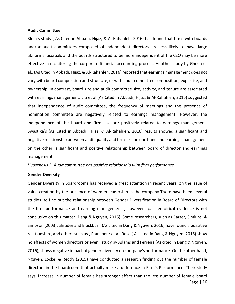#### **Audit Committee**

Klein's study ( As Cited in Abbadi, Hijaz, & Al-Rahahleh, 2016) has found that firms with boards and/or audit committees composed of independent directors are less likely to have large abnormal accruals and the boards structured to be more independent of the CEO may be more effective in monitoring the corporate financial accounting process. Another study by Ghosh et al., (As Cited in Abbadi, Hijaz, & Al-Rahahleh, 2016) reported that earnings management does not vary with board composition and structure, or with audit committee composition, expertise, and ownership. In contrast, board size and audit committee size, activity, and tenure are associated with earnings management. Liu et al (As Cited in Abbadi, Hijaz, & Al-Rahahleh, 2016) suggested that independence of audit committee, the frequency of meetings and the presence of nomination committee are negatively related to earnings management. However, the independence of the board and firm size are positively related to earnings management. Swastika's (As Cited in Abbadi, Hijaz, & Al-Rahahleh, 2016) results showed a significant and negative relationship between audit quality and firm size on one hand and earnings management on the other, a significant and positive relationship between board of director and earnings management.

*Hypothesis 3: Audit committee has positive relationship with firm performance*

#### **Gender Diversity**

Page | 16 Gender Diversity in Boardrooms has received a great attention in recent years, on the issue of value creation by the presence of women leadership in the company There have been several studies to find out the relationship between Gender Diversification in Board of Directors with the firm performance and earning management , however past empirical evidence is not conclusive on this matter (Dang & Nguyen, 2016). Some researchers, such as Carter, Simkins, & Simpson (2003), Shrader and Blackburn (As cited in Dang & Nguyen, 2016) have found a possitive relationship , and others such as., Francoeur et al; Rose ( As cited in Dang & Nguyen, 2016) show no effects of women directors or even , study by Adams and Ferreira (As cited in Dang & Nguyen, 2016), shows negative impact of gender diversity on company's performance. On the other hand, Nguyen, Locke, & Reddy (2015) have conducted a research finding out the number of female directors in the boardroom that actually make a difference in Firm's Performance. Their study says, increase in number of female has stronger effect than the less number of female board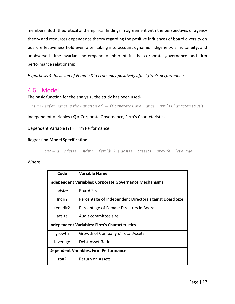members. Both theoretical and empirical findings in agreement with the perspectives of agency theory and resources dependence theory regarding the positive influences of board diversity on board effectiveness hold even after taking into account dynamic indigeneity, simultaneity, and unobserved time-invariant heterogeneity inherent in the corporate governance and firm performance relationship.

*Hypothesis 4: Inclusion of Female Directors may positively affect firm's performance* 

### <span id="page-23-0"></span>4.6 Model

The basic function for the analysis , the study has been used-

Firm Performance is the Function of  $=$  (Corpotate Governance, Firm's Characteristics)

Independent Variables (X) = Corporate Governance, Firm's Characteristics

Dependent Variable (Y) = Firm Performance

#### **Regression Model Specification**

 $roa2 = a + bdisize + indir2 + femldir2 + acsize + tassets + growth + leverage$ 

#### Where,

| Code                                                          | Variable Name                                          |  |  |  |  |  |  |
|---------------------------------------------------------------|--------------------------------------------------------|--|--|--|--|--|--|
| <b>Independent Variables: Corporate Governance Mechanisms</b> |                                                        |  |  |  |  |  |  |
| bdsize                                                        | <b>Board Size</b>                                      |  |  |  |  |  |  |
| Indir <sub>2</sub>                                            | Percentage of Independent Directors against Board Size |  |  |  |  |  |  |
| femldir2                                                      | Percentage of Female Directors in Board                |  |  |  |  |  |  |
| acsize                                                        | Audit committee size                                   |  |  |  |  |  |  |
| <b>Independent Variables: Firm's Characteristics</b>          |                                                        |  |  |  |  |  |  |
| growth                                                        | Growth of Company's' Total Assets                      |  |  |  |  |  |  |
| leverage                                                      | Debt-Asset Ratio                                       |  |  |  |  |  |  |
|                                                               | <b>Dependent Variables: Firm Performance</b>           |  |  |  |  |  |  |
| roa <sub>2</sub>                                              | Return on Assets                                       |  |  |  |  |  |  |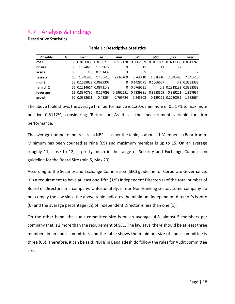## <span id="page-24-0"></span>4.7 Analysis & Findings

#### **Descriptive Statistics**

| <b>Table 1: Descriptive Statistics</b> |    |      |                    |                                                                                                     |            |                                                            |                                                           |                                                                                                   |  |  |
|----------------------------------------|----|------|--------------------|-----------------------------------------------------------------------------------------------------|------------|------------------------------------------------------------|-----------------------------------------------------------|---------------------------------------------------------------------------------------------------|--|--|
| N                                      |    | mean | sd                 | min                                                                                                 | p25        | p50                                                        | p75                                                       | max                                                                                               |  |  |
|                                        |    |      |                    |                                                                                                     |            |                                                            |                                                           |                                                                                                   |  |  |
|                                        | 65 |      | 1.159617           | 9                                                                                                   | 11         | 11                                                         | 12                                                        | 15                                                                                                |  |  |
|                                        | 65 |      | 0.731439           | 3                                                                                                   | 5          | 5                                                          | 5                                                         | 7                                                                                                 |  |  |
|                                        |    |      | $1.45E + 10$       | $2.66E + 09$                                                                                        | $6.76F+10$ | $1.33E+10$                                                 |                                                           | 7.34E+10                                                                                          |  |  |
|                                        |    |      |                    |                                                                                                     |            |                                                            |                                                           | 0.2 0.3333333                                                                                     |  |  |
|                                        |    |      |                    | 0                                                                                                   | 0.0769231  |                                                            |                                                           |                                                                                                   |  |  |
|                                        |    |      | 0.167093           | 0.5962291                                                                                           |            |                                                            | 0.889221                                                  | 1.827937                                                                                          |  |  |
|                                        |    |      | 0.48864            |                                                                                                     |            |                                                            |                                                           | 1.583664                                                                                          |  |  |
|                                        |    |      | 65<br>50 0.0382611 | 11.24615<br>4.8<br>$1.74F + 10$<br>65 0.1639829 0.0629307<br>65 0.1214614 0.0873149<br>65 0.8370736 |            | 65 0.0130065 0.0156713 -0.0517138 0.0062359<br>$-0.769724$ | 0 0.1428571 0.1666667<br>0.7339981 0.8283369<br>-0.245303 | 0.0151869 0.0211366 0.0511246<br>$2.34E+10$<br>0.1 0.1818182 0.3333333<br>$-0.129121$ $0.2730035$ |  |  |

#### **Table 1 : Descriptive Statistics**

The above table shows the average firm performance is 1.30%, minimum of 0.517% to maximum positive 0.5112%, considering 'Return on Asset' as the measurement variable for firm performance.

The average number of board size in NBFI's, as per the table, is about 11 Members in Boardroom. Minimum has been counted as Nine (09) and maximum member is up to 15. On an average roughly 11, close to 12, is pretty much in the range of Security and Exchange Commission guideline for the Board Size (min 5, Max 20).

According to the Security and Exchange Commission (SEC) guideline for Corporate Governance, it is a requirement to have at least one-fifth (1/5) Independent Director(s) of the total number of Board of Directors in a company. Unfortunately, in our Non-Banking sector, some company do not comply the law since the above table indicates the minimum independent director's is zero (0) and the average percentage (%) of Independent Director is less than one (1).

On the other hand, the audit committee size is on an average- 4.8, almost 5 members per company that is 2 more than the requirement of SEC. The law says, there should be at least three members in an audit committee, and the table shows the minimum size of audit committee is three (03). Therefore, it can be said, NBFIs in Bangladesh do follow the rules for Audit committee size.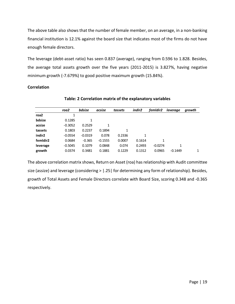The above table also shows that the number of female member, on an average, in a non-banking financial institution is 12.1% against the board size that indicates most of the firms do not have enough female directors.

The leverage (debt-asset ratio) has seen 0.837 (average), ranging from 0.596 to 1.828. Besides, the average total assets growth over the five years (2011-2015) is 3.827%, having negative minimum growth (-7.679%) to good positive maximum growth (15.84%).

#### **Correlation**

|                    | roa2         | bdsize    | acsize    | tassets      | indir <sub>2</sub> | femldir <sub>2</sub> | leverage  | growth |
|--------------------|--------------|-----------|-----------|--------------|--------------------|----------------------|-----------|--------|
| roa <sub>2</sub>   | $\mathbf{1}$ |           |           |              |                    |                      |           |        |
| bdsize             | 0.1285       | 1         |           |              |                    |                      |           |        |
| acsize             | $-0.3052$    | 0.2529    | 1         |              |                    |                      |           |        |
| tassets            | 0.1803       | 0.2237    | 0.1894    | $\mathbf{1}$ |                    |                      |           |        |
| indir <sub>2</sub> | $-0.0554$    | $-0.0319$ | 0.078     | 0.2336       | 1                  |                      |           |        |
| femIdir2           | 0.0684       | $-0.365$  | $-0.1555$ | 0.0007       | 0.1614             | 1                    |           |        |
| leverage           | $-0.5045$    | 0.1079    | 0.0848    | 0.074        | 0.2493             | $-0.0274$            | 1         |        |
| growth             | 0.0374       | 0.3481    | 0.1881    | 0.1229       | 0.1312             | 0.0965               | $-0.1449$ |        |

**Table: 2 Correlation matrix of the explanatory variables**

The above correlation matrix shows, Return on Asset (roa) has relationship with Audit committee size (assize) and leverage (considering > |.25| for determining any form of relationship). Besides, growth of Total Assets and Female Directors correlate with Board Size, scoring 0.348 and -0.365 respectively.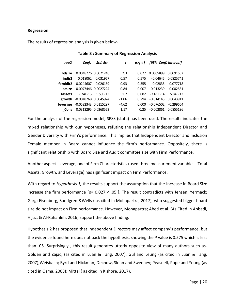#### **Regression**

The results of regression analysis is given below-

| roa2     | Coef.                    | Std. Err.           | t       | p > l t l | [95% Conf. Interval] |             |  |
|----------|--------------------------|---------------------|---------|-----------|----------------------|-------------|--|
|          |                          |                     |         |           |                      |             |  |
| hdsize   |                          | 0.0048776 0.0021246 | 2.3     | 0.027     | 0.0005899            | 0.0091652   |  |
| indir2   | 0.018062                 | 0.031967            | 0.57    | 0.575     | -0.04645             | 0.0825741   |  |
| femldir2 | 0.0244607                | 0.026169            | 0.93    | 0.355     | $-0.02835$           | 0.077718    |  |
| acsize   | $-0.0077446$ $0.0027224$ |                     | $-0.84$ | 0.007     | $-0.013239$          | $-0.002581$ |  |
| tassets  | 2 74F-13                 | 1 50F-13            | 17      | 0.082     | $-3.61F-14$          | 5.84E-13    |  |
| growth   | $-0.0048768$ 0.0045924   |                     | $-1.06$ | 0.294     | $-0.014145$          | 0.0043911   |  |
| leverage | -0.0532343 0.0115297     |                     | $-4.62$ | 0.000     | $-0.076502$          | $-0.299664$ |  |
| Cons     |                          | 0.0313295 0.0268523 | 1 17    | 0.25      | -0.002861            | 0.0855196   |  |

**Table 3 : Summary of Regression Analysis**

For the analysis of the regression model, SPSS (stata) has been used. The results indicates the mixed relationship with our hypotheses, refuting the relationship Independent Director and Gender Diversity with Firm's performance. This implies that Independent Director and Inclusion Female member in Board cannot influence the firm's performance. Oppositely, there is significant relationship with Board Size and Audit committee size with Firm Performance.

Another aspect- Leverage, one of Firm Characteristics (used three measurement variables: 'Total Assets, Growth, and Leverage) has significant impact on Firm Performance.

With regard to *Hypothesis 1,* the results support the assumption that the Increase in Board Size increase the firm performance  $[p = 0.027 < .05]$ . The result contradicts with Jensen; Yermack; Garg; Eisenberg, Sundgren &Wells ( as cited in Mohapartra, 2017), who suggested bigger board size do not impact on Firm performance. However, Mohapartra; Abed et al. (As Cited in Abbadi, Hijaz, & Al-Rahahleh, 2016) support the above finding.

Hypothesis 2 has proposed that Independent Directors may affect company's performance, but the evidence found here does not back the hypothesis, showing the P value is 0.575 which is less than .05. Surprisingly , this result generates utterly opposite view of many authors such as-Golden and Zajac, (as cited in Luan & Tang, 2007); Gul and Leung (as cited in Luan & Tang, 2007);Weisbach; Byrd and Hickman; Dechow, Sloan and Sweeney; Peasnell, Pope and Young (as cited in Osma, 2008); Mittal ( as cited in Kishore, 2017).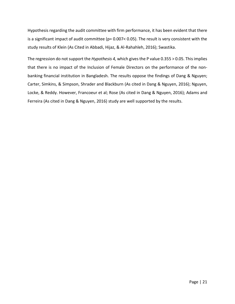Hypothesis regarding the audit committee with firm performance, it has been evident that there is a significant impact of audit committee (p= 0.007< 0.05). The result is very consistent with the study results of Klein (As Cited in Abbadi, Hijaz, & Al-Rahahleh, 2016); Swastika.

The regression do not support the *Hypothesis 4,* which gives the P value 0.355 > 0.05. This implies that there is no impact of the Inclusion of Female Directors on the performance of the nonbanking financial institution in Bangladesh. The results oppose the findings of Dang & Nguyen; Carter, Simkins, & Simpson, Shrader and Blackburn (As cited in Dang & Nguyen, 2016); Nguyen, Locke, & Reddy. However, Francoeur et al; Rose (As cited in Dang & Nguyen, 2016); Adams and Ferreira (As cited in Dang & Nguyen, 2016) study are well supported by the results.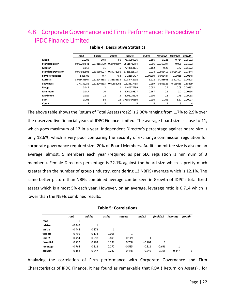## <span id="page-28-0"></span>4.8 Corporate Governance and Firm Performance: Perspective of IPDC Finance Limited

|                           | roa <sub>2</sub> | bdsize                      | acsize     | tassets        | indir <sub>2</sub> | femIdir2    | leverage    | growth     |
|---------------------------|------------------|-----------------------------|------------|----------------|--------------------|-------------|-------------|------------|
| Mean                      | 0.0206           | 10.8                        | 4.6        | 7516080036     | 0.186              | 0.221       | 0.714       | 0.05002    |
| <b>Standard Error</b>     | 0.002204541      | 0.374165739                 | 0.24494897 | 256187328.4    | 0.006              | 0.0360194   | 0.006       | 0.01922    |
| Median                    | 0.018            | 11                          | 5          | 7743863131     | 0.182              | 0.25        | 0.72        | 0.05572    |
| <b>Standard Deviation</b> | 0.004929503      | 0.836660027                 | 0.54772256 | 572852281.3    | 0.014              | 0.0805419   | 0.0134164   | 0.03844    |
| <b>Sample Variance</b>    | 2.43E-05         | 0.7                         | 0.3        | 3.2816E+17     | 0.000200           | 0.006487    | 0.00018     | 0.00148    |
| <b>Kurtosis</b>           | 3.088451964      | $-0.612244898 - 3.33333333$ |            | $-1.285442902$ | $-1.212$           | $-0.168668$ | $-2.407407$ | 1.76523    |
| <b>Skewness</b>           | 1.77732255       | 0.512240833 -0.60858062     |            | $-0.324117495$ | $-0.299$           | $-0.935326$ | $-0.165635$ | $-0.85399$ |
| Range                     | 0.012            | $\overline{2}$              | 1          | 1440927299     | 0.033              | 0.2         | 0.03        | 0.09252    |
| Minimum                   | 0.017            | 10                          | 4          | 6761089327     | 0.167              | 0.1         | 0.7         | $-0.00194$ |
| <b>Maximum</b>            | 0.029            | 12                          | 5          | 8202016626     | 0.200              | 0.3         | 0.73        | 0.09058    |
| Sum                       | 0.103            | 54                          | 23         | 37580400180    | 0.930              | 1.105       | 3.57        | 0.20007    |
| Count                     | 5                | 5                           | 5          | 5              | 5                  | 5           | 5           | 4          |

#### **Table 4: Descriptive Statistics**

The above table shows the Return of Total Assets (roa2) is 2.06% ranging from 1.7% to 2.9% over the observed five financial years of IDPC Finance Limited. The average board size is close to 11, which goes maximum of 12 in a year. Independent Director's percentage against board size is only 18.6%, which is very poor comparing the Security of exchange commission regulation for corporate governance required size- 20% of Board Members. Audit committee size is also on an average, almost, 5 members each year (required as per SEC regulation is minimum of 3 members). Female Directors percentage is 22.1% against the board size which is pretty much greater than the number of group (industry, considering 13 NBFIS) average which is 12.1%. The same better picture than NBFIs combined average can be seen in Growth of IDPC's total fixed assets which is almost 5% each year. However, on an average, leverage ratio is 0.714 which is lower than the NBFIs combined results.

|                  | roa2     | bdsize   | acsize   | tassets      | indir <sub>2</sub> | femIdir2     | leverage | growth |
|------------------|----------|----------|----------|--------------|--------------------|--------------|----------|--------|
| roa <sub>2</sub> | 1        |          |          |              |                    |              |          |        |
| bdsize           | $-0.449$ | 1        |          |              |                    |              |          |        |
| acsize           | $-0.444$ | 0.873    | 1        |              |                    |              |          |        |
| tassets          | 0.795    | $-0.173$ | 0.055    | $\mathbf{1}$ |                    |              |          |        |
| indir2           | 0.454    | $-0.998$ | $-0.899$ | 0.149        | 1                  |              |          |        |
| femidir2         | 0.722    | 0.263    | 0.238    | 0.738        | $-0.264$           | $\mathbf{1}$ |          |        |
| leverage         | $-0.764$ | 0.312    | 0.272    | $-0.515$     | $-0.311$           | $-0.696$     | 1        |        |
| growth           | 0.158    | 0.247    | 0.237    | 0.448        | $-0.249$           | 0.198        | 0.447    | 1      |

| <b>Table 5: Correlations</b> |  |  |  |
|------------------------------|--|--|--|
|------------------------------|--|--|--|

Analyzing the correlation of Firm performance with Corporate Governance and Firm Characteristics of IPDC Finance, it has found as remarkable that ROA ( Return on Assets) , for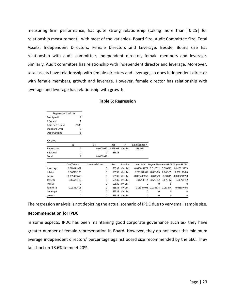measuring firm performance, has quite strong relationship (taking more than |0.25| for relationship measurement) with most of the variables- Board Size, Audit Committee Size, Total Assets, Independent Directors, Female Directors and Leverage. Beside, Board size has relationship with audit committee, independent director, female members and leverage. Similarly, Audit committee has relationship with independent director and leverage. Moreover, total assets have relationship with female directors and leverage, so does independent director with female members, growth and leverage. However, female director has relationship with leverage and leverage has relationship with growth.

| <b>Regression Statistics</b> |                |                       |           |         |                |                   |             |                                 |
|------------------------------|----------------|-----------------------|-----------|---------|----------------|-------------------|-------------|---------------------------------|
| Multiple R                   | 1              |                       |           |         |                |                   |             |                                 |
| R Square                     | 1              |                       |           |         |                |                   |             |                                 |
| <b>Adjusted R Squa</b>       | 65535          |                       |           |         |                |                   |             |                                 |
| <b>Standard Error</b>        | 0              |                       |           |         |                |                   |             |                                 |
| Observations                 | 5              |                       |           |         |                |                   |             |                                 |
| ANOVA                        |                |                       |           |         |                |                   |             |                                 |
|                              | df             | SS                    | <b>MS</b> | F       | Significance F |                   |             |                                 |
| Regression                   | 7              | 0.0000972             | 1.39E-05  | #NUM!   | #NUM!          |                   |             |                                 |
| Residual                     | 0              | 0                     | 65535     |         |                |                   |             |                                 |
| Total                        | 7              | 0.0000972             |           |         |                |                   |             |                                 |
|                              |                |                       |           |         |                |                   |             |                                 |
|                              | Coefficients   | <b>Standard Error</b> | t Stat    | P-value | Lower 95%      |                   |             | Upper 95%ower 95.09 Upper 95.0% |
| Intercept                    | 0.010011979    | $\Omega$              | 65535     | #NUM!   | 0.010011979    | 0.010012 0.010012 |             | 0.010011979                     |
| bdsize                       | 8.06212E-05    | 0                     | 65535     | #NUM!   | 8.06212E-05    | 8.06E-05          | 8.06E-05    | 8.06212E-05                     |
| acsize                       | $-0.005493658$ | 0                     | 65535     | #NUM!   | $-0.005493658$ | $-0.00549$        | $-0.00549$  | $-0.005493658$                  |
| tassets                      | 3.6679E-12     | 0                     | 65535     | #NUM!   | 3.6679E-12     | 3.67E-12          | 3.67E-12    | 3.6679E-12                      |
| indir2                       | 0              | 0                     | 65535     | #NUM!   | 0              | 0                 | $\mathbf 0$ | 0                               |
| femIdir2                     | 0.03357408     | 0                     | 65535     | #NUM!   | 0.03357408     | 0.033574 0.033574 |             | 0.03357408                      |
| leverage                     | 0              | 0                     | 65535     | #NUM!   | 0              | 0                 | 0           | 0                               |
| growth                       | 0              | $\Omega$              | 65535     | #NUM!   | $\mathbf 0$    | 0                 | 0           | 0                               |
|                              |                |                       |           |         |                |                   |             |                                 |

#### **Table 6: Regression**

The regression analysis is not depicting the actual scenario of IPDC due to very small sample size.

#### **Recommendation for IPDC**

In some aspects, IPDC has been maintaining good corporate governance such as- they have greater number of female representation in Board. However, they do not meet the minimum average independent directors' percentage against board size recommended by the SEC. They fall short on 18.6% to meet 20%.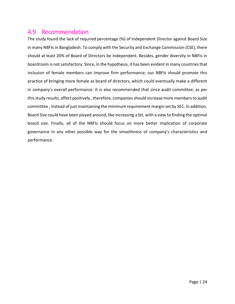#### <span id="page-30-0"></span>4.9 Recommendation

The study found the lack of required percentage (%) of Independent Director against Board Size in many NBFIs in Bangladesh. To comply with the Security and Exchange Commission (CSE), there should at least 20% of Board of Directors be Independent. Besides, gender diversity in NBFIs in boardroom is not satisfactory. Since, in the hypothesis, it has been evident in many countries that inclusion of female members can improve firm performance; our NBFIs should promote this practice of bringing more female as board of directors, which could eventually make a different in company's overall performance. It is also recommended that since audit committee, as per this study results, affect positively , therefore, companies should increase more members to audit committee , instead of just maintaining the minimum requirement margin set by SEC. In addition, Board Size could have been played around, like increasing a bit, with a view to finding the optimal board size. Finally, all of the NBFIs should focus on more better implication of corporate governance in any other possible way for the smoothness of company's characteristics and performance.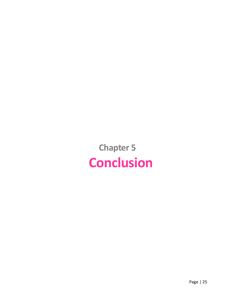<span id="page-31-0"></span>**Chapter 5 Conclusion**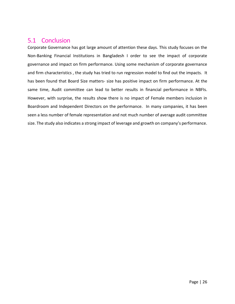## <span id="page-32-0"></span>5.1 Conclusion

Corporate Governance has got large amount of attention these days. This study focuses on the Non-Banking Financial Institutions in Bangladesh I order to see the impact of corporate governance and impact on firm performance. Using some mechanism of corporate governance and firm characteristics , the study has tried to run regression model to find out the impacts. It has been found that Board Size matters- size has positive impact on firm performance. At the same time, Audit committee can lead to better results in financial performance in NBFIs. However, with surprise, the results show there is no impact of Female members inclusion in Boardroom and Independent Directors on the performance. In many companies, it has been seen a less number of female representation and not much number of average audit committee size. The study also indicates a strong impact of leverage and growth on company's performance.